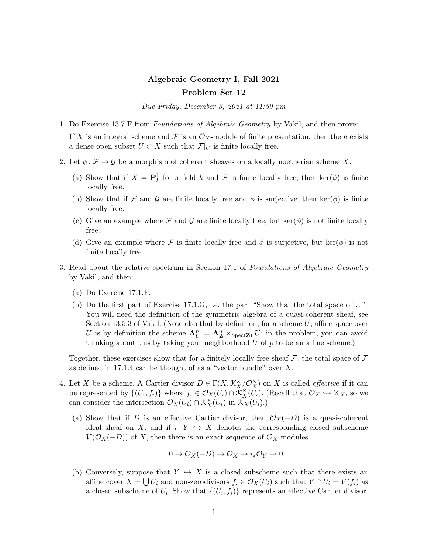## Algebraic Geometry I, Fall 2021 Problem Set 12

Due Friday, December 3, 2021 at 11:59 pm

- 1. Do Exercise 13.7.F from Foundations of Algebraic Geometry by Vakil, and then prove: If X is an integral scheme and F is an  $\mathcal{O}_X$ -module of finite presentation, then there exists a dense open subset  $U \subset X$  such that  $\mathcal{F}|_U$  is finite locally free.
- 2. Let  $\phi: \mathcal{F} \to \mathcal{G}$  be a morphism of coherent sheaves on a locally noetherian scheme X.
	- (a) Show that if  $X = \mathbf{P}_k^1$  for a field k and F is finite locally free, then  $\text{ker}(\phi)$  is finite locally free.
	- (b) Show that if F and G are finite locally free and  $\phi$  is surjective, then ker( $\phi$ ) is finite locally free.
	- (c) Give an example where  $\mathcal F$  and  $\mathcal G$  are finite locally free, but ker( $\phi$ ) is not finite locally free.
	- (d) Give an example where F is finite locally free and  $\phi$  is surjective, but ker( $\phi$ ) is not finite locally free.
- 3. Read about the relative spectrum in Section 17.1 of Foundations of Algebraic Geometry by Vakil, and then:
	- (a) Do Exercise 17.1.F.
	- (b) Do the first part of Exercise 17.1.G, i.e. the part "Show that the total space of. . . ". You will need the definition of the symmetric algebra of a quasi-coherent sheaf, see Section 13.5.3 of Vakil. (Note also that by definition, for a scheme  $U$ , affine space over U is by definition the scheme  $\mathbf{A}_{U}^{n} = \mathbf{A}_{\mathbf{Z}}^{n} \times_{\text{Spec}(\mathbf{Z})} U$ ; in the problem, you can avoid thinking about this by taking your neighborhood  $U$  of  $p$  to be an affine scheme.)

Together, these exercises show that for a finitely locally free sheaf  $\mathcal F$ , the total space of  $\mathcal F$ as defined in 17.1.4 can be thought of as a "vector bundle" over  $X$ .

- 4. Let X be a scheme. A Cartier divisor  $D \in \Gamma(X, \mathcal{K}^\times_X/\mathcal{O}_X^\times)$  on X is called *effective* if it can be represented by  $\{(U_i, f_i)\}\$  where  $f_i \in \mathcal{O}_X(U_i) \cap \widetilde{K}_X^{\times}(\widetilde{U}_i)$ . (Recall that  $\mathcal{O}_X \hookrightarrow \mathcal{K}_X$ , so we can consider the intersection  $\mathcal{O}_X(U_i) \cap \mathcal{K}_X^{\times}(U_i)$  in  $\mathcal{K}_X(U_i)$ .
	- (a) Show that if D is an effective Cartier divisor, then  $\mathcal{O}_X(-D)$  is a quasi-coherent ideal sheaf on X, and if  $i: Y \hookrightarrow X$  denotes the corresponding closed subscheme  $V(\mathcal{O}_X(-D))$  of X, then there is an exact sequence of  $\mathcal{O}_X$ -modules

$$
0 \to \mathcal{O}_X(-D) \to \mathcal{O}_X \to i_*\mathcal{O}_Y \to 0.
$$

(b) Conversely, suppose that  $Y \hookrightarrow X$  is a closed subscheme such that there exists an affine cover  $X = \bigcup U_i$  and non-zerodivisors  $f_i \in \mathcal{O}_X(U_i)$  such that  $Y \cap U_i = V(f_i)$  as a closed subscheme of  $U_i$ . Show that  $\{(U_i, f_i)\}\)$  represents an effective Cartier divisor.